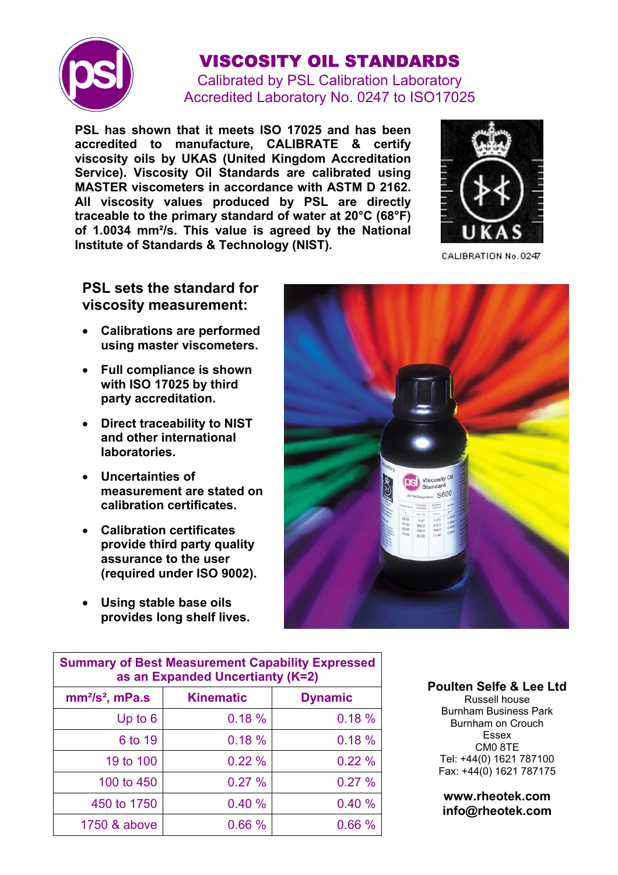

## VISCOSITY OIL STANDARDS

Calibrated by PSL Calibration Laboratory Accredited Laboratory No. 0247 to ISO17025

**PSL has shown that it meets ISO 17025 and has been accredited to manufacture, CALIBRATE & certify viscosity oils by UKAS (United Kingdom Accreditation Service). Viscosity Oil Standards are calibrated using MASTER viscometers in accordance with ASTM D 2162. All viscosity values produced by PSL are directly traceable to the primary standard of water at 20°C (68°F) of 1.0034 mm²/s. This value is agreed by the National Institute of Standards & Technology (NIST).** 



CALIBRATION No. 0247

## **PSL sets the standard for viscosity measurement:**

- **Calibrations are performed using master viscometers.**
- **Full compliance is shown with ISO 17025 by third party accreditation.**
- **Direct traceability to NIST and other international laboratories.**
- **Uncertainties of measurement are stated on calibration certificates.**
- **Calibration certificates provide third party quality assurance to the user (required under ISO 9002).**
- **Using stable base oils provides long shelf lives.**



| <b>Summary of Best Measurement Capability Expressed</b><br>as an Expanded Uncertianty (K=2) |                  |                |  |  |  |
|---------------------------------------------------------------------------------------------|------------------|----------------|--|--|--|
| $mm2/s2$ , mPa.s                                                                            | <b>Kinematic</b> | <b>Dynamic</b> |  |  |  |
| Up to $6$                                                                                   | 0.18%            | 0.18%          |  |  |  |
| 6 to 19                                                                                     | 0.18%            | 0.18%          |  |  |  |
| 19 to 100                                                                                   | 0.22%            | 0.22%          |  |  |  |
| 100 to 450                                                                                  | 0.27%            | 0.27%          |  |  |  |
| 450 to 1750                                                                                 | 0.40%            | 0.40%          |  |  |  |
| 1750 & above                                                                                | 0.66%            | 0.66%          |  |  |  |

## **Poulten Selfe & Lee Ltd**

Russell house Burnham Business Park Burnham on Crouch Essex CM0 8TE Tel: +44(0) 1621 787100 Fax: +44(0) 1621 787175

**www.rheotek.com info@rheotek.com**